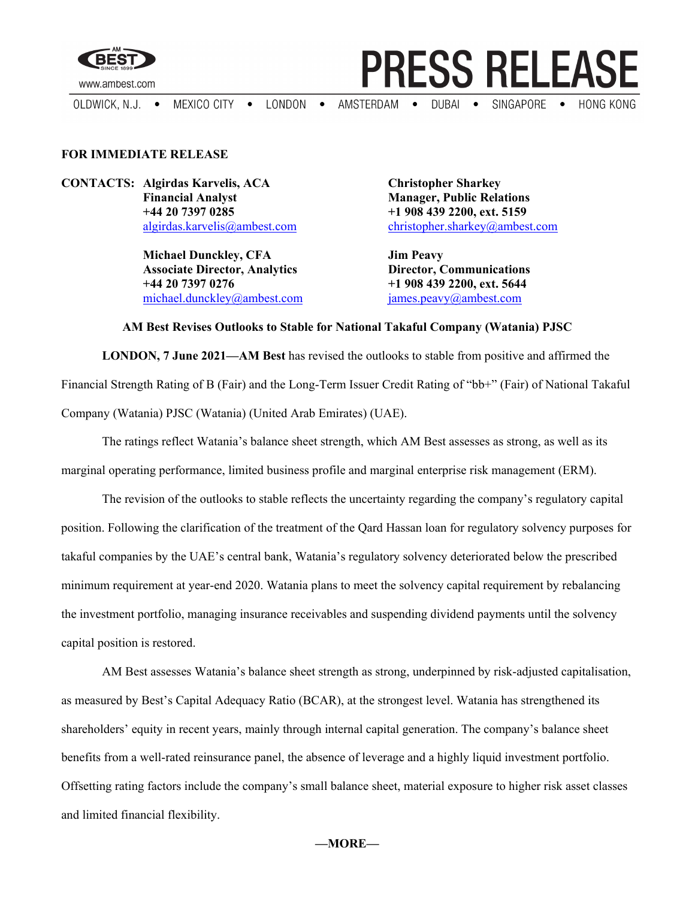

www.ambest.com

MEXICO CITY . LONDON . AMSTERDAM . SINGAPORE • OLDWICK, N.J.  $\bullet$  $DUBAI$   $\bullet$ **HONG KONG** 

## **FOR IMMEDIATE RELEASE**

**CONTACTS: Algirdas Karvelis, ACA Christopher Sharkey Financial Analyst Manager, Public Relations +44 20 7397 0285 +1 908 439 2200, ext. 5159**

> **Michael Dunckley, CFA Jim Peavy Associate Director, Analytics +44 20 7397 0276 +1 908 439 2200, ext. 5644** [michael.dunckley@ambest.com](mailto:michael.dunckley@ambest.com) [james.peavy@ambest.com](mailto:james.peavy@ambest.com)

[algirdas.karvelis@ambest.com](mailto:algirdas.karvelis@ambest.com) [christopher.sharkey@ambest.com](mailto:christopher.sharkey@ambest.com)

**PRESS RELEASE** 

## **AM Best Revises Outlooks to Stable for National Takaful Company (Watania) PJSC**

**LONDON, 7 June 2021—AM Best** has revised the outlooks to stable from positive and affirmed the Financial Strength Rating of B (Fair) and the Long-Term Issuer Credit Rating of "bb+" (Fair) of National Takaful Company (Watania) PJSC (Watania) (United Arab Emirates) (UAE).

The ratings reflect Watania's balance sheet strength, which AM Best assesses as strong, as well as its marginal operating performance, limited business profile and marginal enterprise risk management (ERM).

The revision of the outlooks to stable reflects the uncertainty regarding the company's regulatory capital position. Following the clarification of the treatment of the Qard Hassan loan for regulatory solvency purposes for takaful companies by the UAE's central bank, Watania's regulatory solvency deteriorated below the prescribed minimum requirement at year-end 2020. Watania plans to meet the solvency capital requirement by rebalancing the investment portfolio, managing insurance receivables and suspending dividend payments until the solvency capital position is restored.

AM Best assesses Watania's balance sheet strength as strong, underpinned by risk-adjusted capitalisation, as measured by Best's Capital Adequacy Ratio (BCAR), at the strongest level. Watania has strengthened its shareholders' equity in recent years, mainly through internal capital generation. The company's balance sheet benefits from a well-rated reinsurance panel, the absence of leverage and a highly liquid investment portfolio. Offsetting rating factors include the company's small balance sheet, material exposure to higher risk asset classes and limited financial flexibility.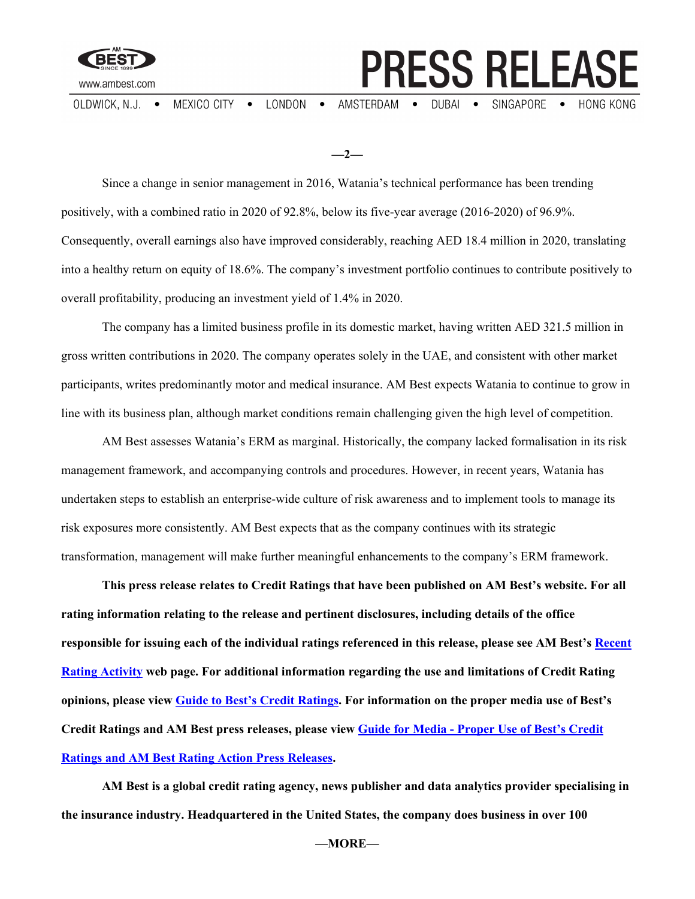

 $\bullet$  LONDON  $\bullet$ OLDWICK, N.J. • MEXICO CITY

AMSTERDAM .

**PRESS RELEASE** 

DUBAI • SINGAPORE •

**HONG KONG** 

**—2—**

Since a change in senior management in 2016, Watania's technical performance has been trending positively, with a combined ratio in 2020 of 92.8%, below its five-year average (2016-2020) of 96.9%. Consequently, overall earnings also have improved considerably, reaching AED 18.4 million in 2020, translating into a healthy return on equity of 18.6%. The company's investment portfolio continues to contribute positively to overall profitability, producing an investment yield of 1.4% in 2020.

The company has a limited business profile in its domestic market, having written AED 321.5 million in gross written contributions in 2020. The company operates solely in the UAE, and consistent with other market participants, writes predominantly motor and medical insurance. AM Best expects Watania to continue to grow in line with its business plan, although market conditions remain challenging given the high level of competition.

AM Best assesses Watania's ERM as marginal. Historically, the company lacked formalisation in its risk management framework, and accompanying controls and procedures. However, in recent years, Watania has undertaken steps to establish an enterprise-wide culture of risk awareness and to implement tools to manage its risk exposures more consistently. AM Best expects that as the company continues with its strategic transformation, management will make further meaningful enhancements to the company's ERM framework.

**This press release relates to Credit Ratings that have been published on AM Best's website. For all rating information relating to the release and pertinent disclosures, including details of the office responsible for issuing each of the individual ratings referenced in this release, please see AM Best's [Recent](http://ratings.ambest.com/ratingeventdisclosures.aspx)  [Rating Activity](http://ratings.ambest.com/ratingeventdisclosures.aspx) web page. For additional information regarding the use and limitations of Credit Rating opinions, please view [Guide to Best's Credit Ratings.](http://www3.ambest.com/ambv/ratingmethodology/OpenPDF.aspx?ri=1368) For information on the proper media use of Best's Credit Ratings and AM Best press releases, please view Guide for Media - [Proper Use of Best's Credit](http://www.ambest.com/about/MediaGuide-BestsCreditRatingsProperUse.pdf)  [Ratings and AM Best Rating Action Press Releases.](http://www.ambest.com/about/MediaGuide-BestsCreditRatingsProperUse.pdf)**

**AM Best is a global credit rating agency, news publisher and data analytics provider specialising in the insurance industry. Headquartered in the United States, the company does business in over 100**

**—MORE—**